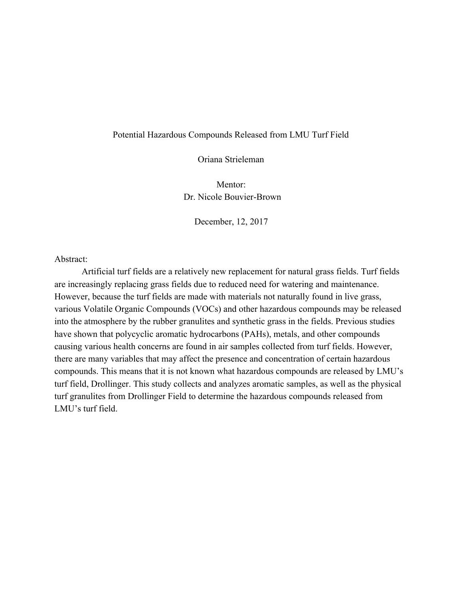## Potential Hazardous Compounds Released from LMU Turf Field

Oriana Strieleman

Mentor: Dr. Nicole Bouvier-Brown

December, 12, 2017

Abstract:

Artificial turf fields are a relatively new replacement for natural grass fields. Turf fields are increasingly replacing grass fields due to reduced need for watering and maintenance. However, because the turf fields are made with materials not naturally found in live grass, various Volatile Organic Compounds (VOCs) and other hazardous compounds may be released into the atmosphere by the rubber granulites and synthetic grass in the fields. Previous studies have shown that polycyclic aromatic hydrocarbons (PAHs), metals, and other compounds causing various health concerns are found in air samples collected from turf fields. However, there are many variables that may affect the presence and concentration of certain hazardous compounds. This means that it is not known what hazardous compounds are released by LMU's turf field, Drollinger. This study collects and analyzes aromatic samples, as well as the physical turf granulites from Drollinger Field to determine the hazardous compounds released from LMU's turf field.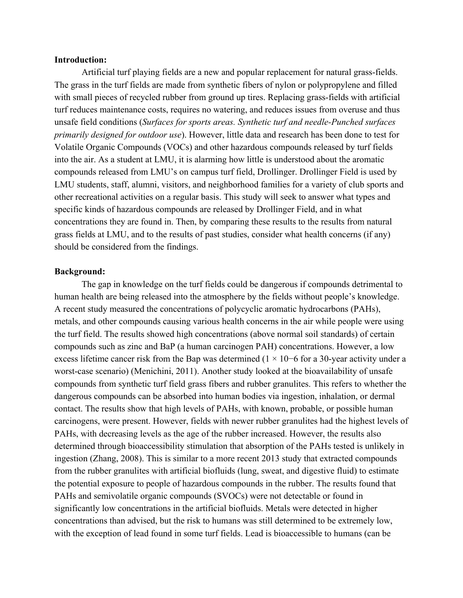### **Introduction:**

Artificial turf playing fields are a new and popular replacement for natural grass-fields. The grass in the turf fields are made from synthetic fibers of nylon or polypropylene and filled with small pieces of recycled rubber from ground up tires. Replacing grass-fields with artificial turf reduces maintenance costs, requires no watering, and reduces issues from overuse and thus unsafe field conditions (*Surfaces for sports areas. Synthetic turf and needle-Punched surfaces primarily designed for outdoor use*). However, little data and research has been done to test for Volatile Organic Compounds (VOCs) and other hazardous compounds released by turf fields into the air. As a student at LMU, it is alarming how little is understood about the aromatic compounds released from LMU's on campus turf field, Drollinger. Drollinger Field is used by LMU students, staff, alumni, visitors, and neighborhood families for a variety of club sports and other recreational activities on a regular basis. This study will seek to answer what types and specific kinds of hazardous compounds are released by Drollinger Field, and in what concentrations they are found in. Then, by comparing these results to the results from natural grass fields at LMU, and to the results of past studies, consider what health concerns (if any) should be considered from the findings.

### **Background:**

The gap in knowledge on the turf fields could be dangerous if compounds detrimental to human health are being released into the atmosphere by the fields without people's knowledge. A recent study measured the concentrations of polycyclic aromatic hydrocarbons (PAHs), metals, and other compounds causing various health concerns in the air while people were using the turf field. The results showed high concentrations (above normal soil standards) of certain compounds such as zinc and BaP (a human carcinogen PAH) concentrations. However, a low excess lifetime cancer risk from the Bap was determined (1 × 10−6 for a 30-year activity under a worst-case scenario) (Menichini, 2011). Another study looked at the bioavailability of unsafe compounds from synthetic turf field grass fibers and rubber granulites. This refers to whether the dangerous compounds can be absorbed into human bodies via ingestion, inhalation, or dermal contact. The results show that high levels of PAHs, with known, probable, or possible human carcinogens, were present. However, fields with newer rubber granulites had the highest levels of PAHs, with decreasing levels as the age of the rubber increased. However, the results also determined through bioaccessibility stimulation that absorption of the PAHs tested is unlikely in ingestion (Zhang, 2008). This is similar to a more recent 2013 study that extracted compounds from the rubber granulites with artificial biofluids (lung, sweat, and digestive fluid) to estimate the potential exposure to people of hazardous compounds in the rubber. The results found that PAHs and semivolatile organic compounds (SVOCs) were not detectable or found in significantly low concentrations in the artificial biofluids. Metals were detected in higher concentrations than advised, but the risk to humans was still determined to be extremely low, with the exception of lead found in some turf fields. Lead is bioaccessible to humans (can be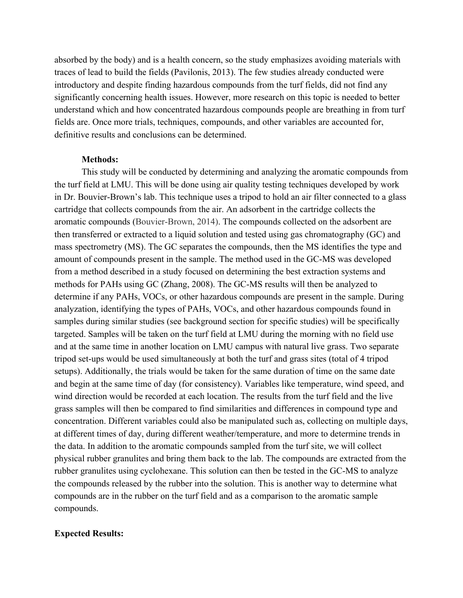absorbed by the body) and is a health concern, so the study emphasizes avoiding materials with traces of lead to build the fields (Pavilonis, 2013). The few studies already conducted were introductory and despite finding hazardous compounds from the turf fields, did not find any significantly concerning health issues. However, more research on this topic is needed to better understand which and how concentrated hazardous compounds people are breathing in from turf fields are. Once more trials, techniques, compounds, and other variables are accounted for, definitive results and conclusions can be determined.

### **Methods:**

This study will be conducted by determining and analyzing the aromatic compounds from the turf field at LMU. This will be done using air quality testing techniques developed by work in Dr. Bouvier-Brown's lab. This technique uses a tripod to hold an air filter connected to a glass cartridge that collects compounds from the air. An adsorbent in the cartridge collects the aromatic compounds (Bouvier-Brown, 2014). The compounds collected on the adsorbent are then transferred or extracted to a liquid solution and tested using gas chromatography (GC) and mass spectrometry (MS). The GC separates the compounds, then the MS identifies the type and amount of compounds present in the sample. The method used in the GC-MS was developed from a method described in a study focused on determining the best extraction systems and methods for PAHs using GC (Zhang, 2008). The GC-MS results will then be analyzed to determine if any PAHs, VOCs, or other hazardous compounds are present in the sample. During analyzation, identifying the types of PAHs, VOCs, and other hazardous compounds found in samples during similar studies (see background section for specific studies) will be specifically targeted. Samples will be taken on the turf field at LMU during the morning with no field use and at the same time in another location on LMU campus with natural live grass. Two separate tripod set-ups would be used simultaneously at both the turf and grass sites (total of 4 tripod setups). Additionally, the trials would be taken for the same duration of time on the same date and begin at the same time of day (for consistency). Variables like temperature, wind speed, and wind direction would be recorded at each location. The results from the turf field and the live grass samples will then be compared to find similarities and differences in compound type and concentration. Different variables could also be manipulated such as, collecting on multiple days, at different times of day, during different weather/temperature, and more to determine trends in the data. In addition to the aromatic compounds sampled from the turf site, we will collect physical rubber granulites and bring them back to the lab. The compounds are extracted from the rubber granulites using cyclohexane. This solution can then be tested in the GC-MS to analyze the compounds released by the rubber into the solution. This is another way to determine what compounds are in the rubber on the turf field and as a comparison to the aromatic sample compounds.

### **Expected Results:**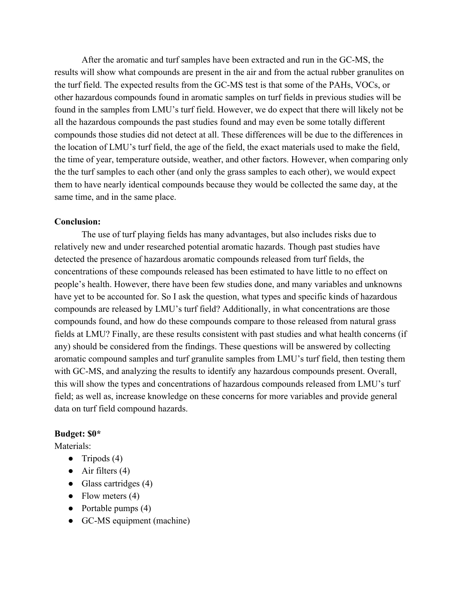After the aromatic and turf samples have been extracted and run in the GC-MS, the results will show what compounds are present in the air and from the actual rubber granulites on the turf field. The expected results from the GC-MS test is that some of the PAHs, VOCs, or other hazardous compounds found in aromatic samples on turf fields in previous studies will be found in the samples from LMU's turf field. However, we do expect that there will likely not be all the hazardous compounds the past studies found and may even be some totally different compounds those studies did not detect at all. These differences will be due to the differences in the location of LMU's turf field, the age of the field, the exact materials used to make the field, the time of year, temperature outside, weather, and other factors. However, when comparing only the the turf samples to each other (and only the grass samples to each other), we would expect them to have nearly identical compounds because they would be collected the same day, at the same time, and in the same place.

## **Conclusion:**

The use of turf playing fields has many advantages, but also includes risks due to relatively new and under researched potential aromatic hazards. Though past studies have detected the presence of hazardous aromatic compounds released from turf fields, the concentrations of these compounds released has been estimated to have little to no effect on people's health. However, there have been few studies done, and many variables and unknowns have yet to be accounted for. So I ask the question, what types and specific kinds of hazardous compounds are released by LMU's turf field? Additionally, in what concentrations are those compounds found, and how do these compounds compare to those released from natural grass fields at LMU? Finally, are these results consistent with past studies and what health concerns (if any) should be considered from the findings. These questions will be answered by collecting aromatic compound samples and turf granulite samples from LMU's turf field, then testing them with GC-MS, and analyzing the results to identify any hazardous compounds present. Overall, this will show the types and concentrations of hazardous compounds released from LMU's turf field; as well as, increase knowledge on these concerns for more variables and provide general data on turf field compound hazards.

## **Budget: \$0\***

Materials<sup>.</sup>

- **●** Tripods (4)
- Air filters  $(4)$
- Glass cartridges  $(4)$
- Flow meters  $(4)$
- Portable pumps  $(4)$
- GC-MS equipment (machine)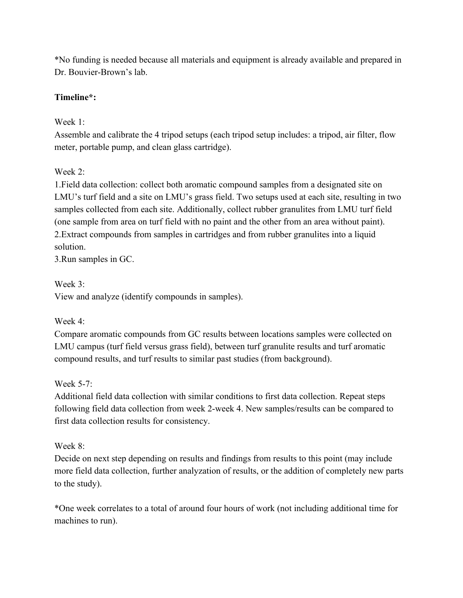\*No funding is needed because all materials and equipment is already available and prepared in Dr. Bouvier-Brown's lab.

## **Timeline\*:**

# Week 1:

Assemble and calibrate the 4 tripod setups (each tripod setup includes: a tripod, air filter, flow meter, portable pump, and clean glass cartridge).

# Week 2:

1.Field data collection: collect both aromatic compound samples from a designated site on LMU's turf field and a site on LMU's grass field. Two setups used at each site, resulting in two samples collected from each site. Additionally, collect rubber granulites from LMU turf field (one sample from area on turf field with no paint and the other from an area without paint). 2.Extract compounds from samples in cartridges and from rubber granulites into a liquid solution.

3.Run samples in GC.

# Week 3:

View and analyze (identify compounds in samples).

# Week 4:

Compare aromatic compounds from GC results between locations samples were collected on LMU campus (turf field versus grass field), between turf granulite results and turf aromatic compound results, and turf results to similar past studies (from background).

# Week  $5-7$

Additional field data collection with similar conditions to first data collection. Repeat steps following field data collection from week 2-week 4. New samples/results can be compared to first data collection results for consistency.

# Week 8<sup>-</sup>

Decide on next step depending on results and findings from results to this point (may include more field data collection, further analyzation of results, or the addition of completely new parts to the study).

\*One week correlates to a total of around four hours of work (not including additional time for machines to run).